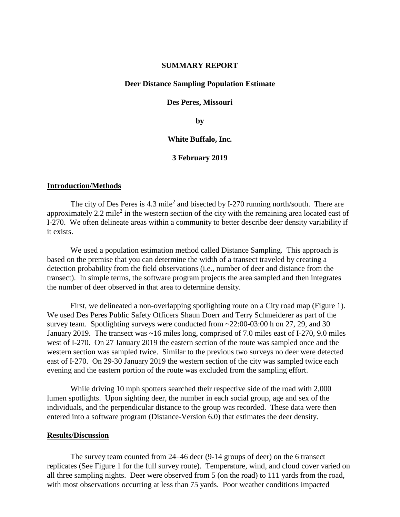### **SUMMARY REPORT**

### **Deer Distance Sampling Population Estimate**

### **Des Peres, Missouri**

**by**

### **White Buffalo, Inc.**

## **3 February 2019**

### **Introduction/Methods**

The city of Des Peres is 4.3 mile<sup>2</sup> and bisected by I-270 running north/south. There are approximately 2.2 mile<sup>2</sup> in the western section of the city with the remaining area located east of I-270. We often delineate areas within a community to better describe deer density variability if it exists.

We used a population estimation method called Distance Sampling. This approach is based on the premise that you can determine the width of a transect traveled by creating a detection probability from the field observations (i.e., number of deer and distance from the transect). In simple terms, the software program projects the area sampled and then integrates the number of deer observed in that area to determine density.

First, we delineated a non-overlapping spotlighting route on a City road map (Figure 1). We used Des Peres Public Safety Officers Shaun Doerr and Terry Schmeiderer as part of the survey team. Spotlighting surveys were conducted from  $\approx$  22:00-03:00 h on 27, 29, and 30 January 2019. The transect was ~16 miles long, comprised of 7.0 miles east of I-270, 9.0 miles west of I-270. On 27 January 2019 the eastern section of the route was sampled once and the western section was sampled twice. Similar to the previous two surveys no deer were detected east of I-270. On 29-30 January 2019 the western section of the city was sampled twice each evening and the eastern portion of the route was excluded from the sampling effort.

While driving 10 mph spotters searched their respective side of the road with 2,000 lumen spotlights. Upon sighting deer, the number in each social group, age and sex of the individuals, and the perpendicular distance to the group was recorded. These data were then entered into a software program (Distance-Version 6.0) that estimates the deer density.

### **Results/Discussion**

The survey team counted from 24–46 deer (9-14 groups of deer) on the 6 transect replicates (See Figure 1 for the full survey route). Temperature, wind, and cloud cover varied on all three sampling nights. Deer were observed from 5 (on the road) to 111 yards from the road, with most observations occurring at less than 75 yards. Poor weather conditions impacted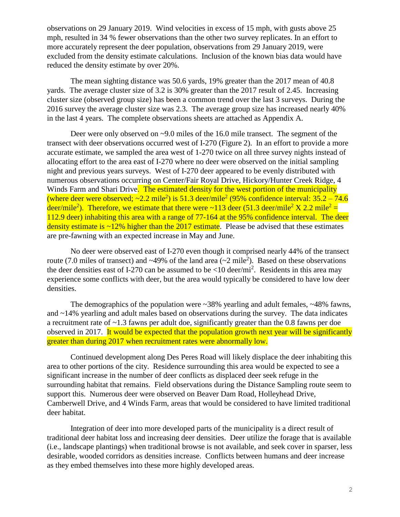observations on 29 January 2019. Wind velocities in excess of 15 mph, with gusts above 25 mph, resulted in 34 % fewer observations than the other two survey replicates. In an effort to more accurately represent the deer population, observations from 29 January 2019, were excluded from the density estimate calculations. Inclusion of the known bias data would have reduced the density estimate by over 20%.

The mean sighting distance was 50.6 yards, 19% greater than the 2017 mean of 40.8 yards. The average cluster size of 3.2 is 30% greater than the 2017 result of 2.45. Increasing cluster size (observed group size) has been a common trend over the last 3 surveys. During the 2016 survey the average cluster size was 2.3. The average group size has increased nearly 40% in the last 4 years. The complete observations sheets are attached as Appendix A.

Deer were only observed on ~9.0 miles of the 16.0 mile transect. The segment of the transect with deer observations occurred west of I-270 (Figure 2). In an effort to provide a more accurate estimate, we sampled the area west of 1-270 twice on all three survey nights instead of allocating effort to the area east of I-270 where no deer were observed on the initial sampling night and previous years surveys. West of I-270 deer appeared to be evenly distributed with numerous observations occurring on Center/Fair Royal Drive, Hickory/Hunter Creek Ridge, 4 Winds Farm and Shari Drive. The estimated density for the west portion of the municipality (where deer were observed;  $\sim$ 2.2 mile<sup>2</sup>) is 51.3 deer/mile<sup>2</sup> (95% confidence interval: 35.2 – 74.6 deer/mile<sup>2</sup>). Therefore, we estimate that there were ~113 deer (51.3 deer/mile<sup>2</sup> X 2.2 mile<sup>2</sup> = 112.9 deer) inhabiting this area with a range of 77-164 at the 95% confidence interval. The deer density estimate is  $\sim$ 12% higher than the 2017 estimate. Please be advised that these estimates are pre-fawning with an expected increase in May and June.

No deer were observed east of I-270 even though it comprised nearly 44% of the transect route (7.0 miles of transect) and  $\sim$ 49% of the land area ( $\sim$ 2 mile<sup>2</sup>). Based on these observations the deer densities east of I-270 can be assumed to be  $\langle 10 \text{ deer/mi}^2 \rangle$ . Residents in this area may experience some conflicts with deer, but the area would typically be considered to have low deer densities.

The demographics of the population were ~38% yearling and adult females, ~48% fawns, and  $\sim$ 14% yearling and adult males based on observations during the survey. The data indicates a recruitment rate of ~1.3 fawns per adult doe, significantly greater than the 0.8 fawns per doe observed in 2017. It would be expected that the population growth next year will be significantly greater than during 2017 when recruitment rates were abnormally low.

Continued development along Des Peres Road will likely displace the deer inhabiting this area to other portions of the city. Residence surrounding this area would be expected to see a significant increase in the number of deer conflicts as displaced deer seek refuge in the surrounding habitat that remains. Field observations during the Distance Sampling route seem to support this. Numerous deer were observed on Beaver Dam Road, Holleyhead Drive, Camberwell Drive, and 4 Winds Farm, areas that would be considered to have limited traditional deer habitat.

Integration of deer into more developed parts of the municipality is a direct result of traditional deer habitat loss and increasing deer densities. Deer utilize the forage that is available (i.e., landscape plantings) when traditional browse is not available, and seek cover in sparser, less desirable, wooded corridors as densities increase. Conflicts between humans and deer increase as they embed themselves into these more highly developed areas.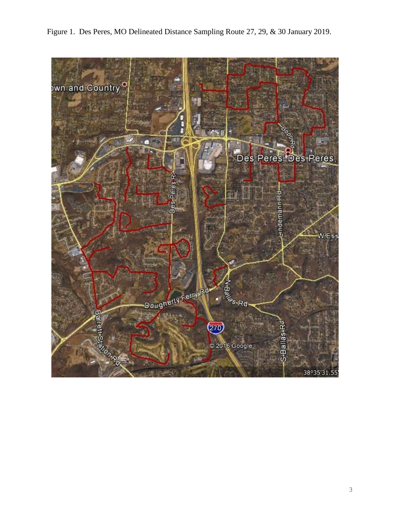

Figure 1. Des Peres, MO Delineated Distance Sampling Route 27, 29, & 30 January 2019.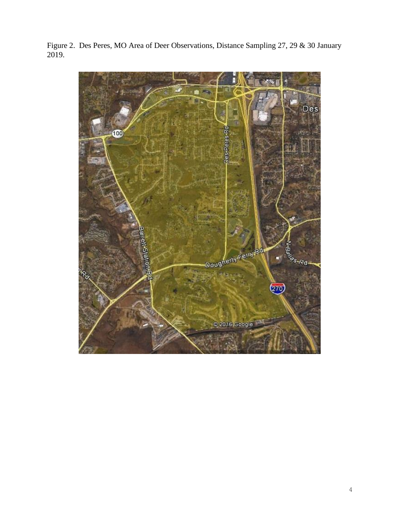Figure 2. Des Peres, MO Area of Deer Observations, Distance Sampling 27, 29 & 30 January 2019.

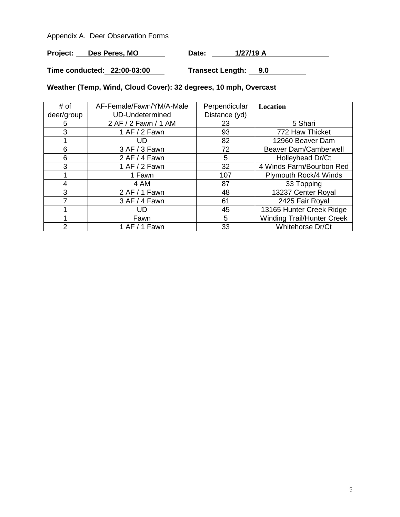Appendix A. Deer Observation Forms

Project: Des Peres, MO Date: 1/27/19 A

**Time conducted: 22:00-03:00 Transect Length: 9.0**

# **Weather (Temp, Wind, Cloud Cover): 32 degrees, 10 mph, Overcast**

| # of       | AF-Female/Fawn/YM/A-Male | Perpendicular | Location                          |
|------------|--------------------------|---------------|-----------------------------------|
| deer/group | <b>UD-Undetermined</b>   | Distance (yd) |                                   |
| 5          | 2 AF / 2 Fawn / 1 AM     | 23            | 5 Shari                           |
| 3          | 1 AF / 2 Fawn            | 93            | 772 Haw Thicket                   |
|            | UD                       | 82            | 12960 Beaver Dam                  |
| 6          | 3 AF / 3 Fawn            | 72            | <b>Beaver Dam/Camberwell</b>      |
| 6          | 2 AF / 4 Fawn            | 5             | Holleyhead Dr/Ct                  |
| 3          | 1 AF / 2 Fawn            | 32            | 4 Winds Farm/Bourbon Red          |
|            | 1 Fawn                   | 107           | Plymouth Rock/4 Winds             |
| 4          | 4 AM                     | 87            | 33 Topping                        |
| 3          | 2 AF / 1 Fawn            | 48            | 13237 Center Royal                |
|            | 3 AF / 4 Fawn            | 61            | 2425 Fair Royal                   |
|            | UD                       | 45            | 13165 Hunter Creek Ridge          |
|            | Fawn                     | 5             | <b>Winding Trail/Hunter Creek</b> |
| 2          | 1 AF / 1 Fawn            | 33            | Whitehorse Dr/Ct                  |

 $\mathbf{r}$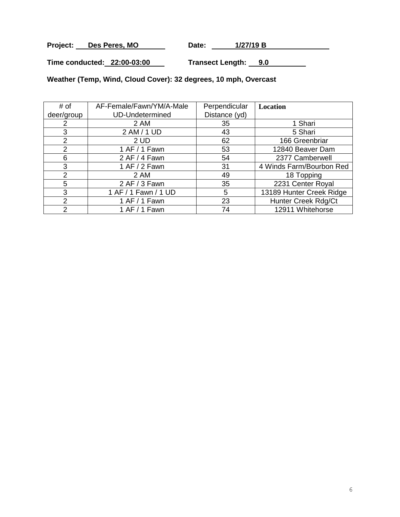Project: Des Peres, MO Date: 1/27/19 B

**Time conducted: 22:00-03:00 Transect Length: 9.0**

**Weather (Temp, Wind, Cloud Cover): 32 degrees, 10 mph, Overcast**

| # of           | AF-Female/Fawn/YM/A-Male | Perpendicular | Location                 |
|----------------|--------------------------|---------------|--------------------------|
| deer/group     | <b>UD-Undetermined</b>   | Distance (yd) |                          |
| 2              | 2 AM                     | 35            | 1 Shari                  |
| 3              | 2 AM / 1 UD              | 43            | 5 Shari                  |
| 2              | 2 UD                     | 62            | 166 Greenbriar           |
| 2              | 1 AF / 1 Fawn            | 53            | 12840 Beaver Dam         |
| 6              | 2 AF / 4 Fawn            | 54            | 2377 Camberwell          |
| 3              | 1 AF / 2 Fawn            | 31            | 4 Winds Farm/Bourbon Red |
| $\overline{2}$ | 2 AM                     | 49            | 18 Topping               |
| 5              | 2 AF / 3 Fawn            | 35            | 2231 Center Royal        |
| 3              | 1 AF / 1 Fawn / 1 UD     | 5             | 13189 Hunter Creek Ridge |
| 2              | 1 AF / 1 Fawn            | 23            | Hunter Creek Rdg/Ct      |
| ົ              | 1 AF / 1 Fawn            | 74            | 12911 Whitehorse         |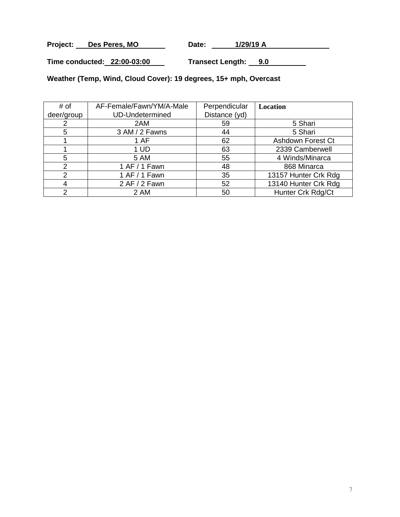Project: Des Peres, MO Date: 1/29/19 A

**Time conducted: 22:00-03:00 Transect Length: 9.0**

**Weather (Temp, Wind, Cloud Cover): 19 degrees, 15+ mph, Overcast**

| # of       | AF-Female/Fawn/YM/A-Male | Perpendicular | Location             |
|------------|--------------------------|---------------|----------------------|
| deer/group | <b>UD-Undetermined</b>   | Distance (yd) |                      |
|            | 2AM                      | 59            | 5 Shari              |
| 5          | 3 AM / 2 Fawns           | 44            | 5 Shari              |
|            | 1 AF                     | 62            | Ashdown Forest Ct    |
|            | 1 UD                     | 63            | 2339 Camberwell      |
| 5          | 5 AM                     | 55            | 4 Winds/Minarca      |
| っ          | 1 AF / 1 Fawn            | 48            | 868 Minarca          |
| າ          | 1 AF / 1 Fawn            | 35            | 13157 Hunter Crk Rdg |
|            | 2 AF / 2 Fawn            | 52            | 13140 Hunter Crk Rdg |
| ົ          | 2 AM                     | 50            | Hunter Crk Rdg/Ct    |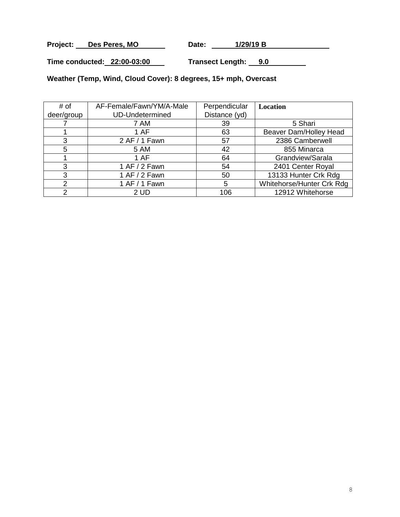Project: Des Peres, MO Date: 1/29/19 B

**Time conducted: 22:00-03:00 Transect Length: 9.0**

**Weather (Temp, Wind, Cloud Cover): 8 degrees, 15+ mph, Overcast**

| # of       | AF-Female/Fawn/YM/A-Male | Perpendicular | <b>Location</b>           |
|------------|--------------------------|---------------|---------------------------|
| deer/group | <b>UD-Undetermined</b>   | Distance (yd) |                           |
|            | 7 AM                     | 39            | 5 Shari                   |
|            | 1 AF                     | 63            | Beaver Dam/Holley Head    |
| 3          | 2 AF / 1 Fawn            | 57            | 2386 Camberwell           |
| 5          | <b>5 AM</b>              | 42            | 855 Minarca               |
|            | 1 AF                     | 64            | Grandview/Sarala          |
| 3          | 1 AF / 2 Fawn            | 54            | 2401 Center Royal         |
| 3          | 1 AF / 2 Fawn            | 50            | 13133 Hunter Crk Rdg      |
| 2          | 1 AF / 1 Fawn            | 5             | Whitehorse/Hunter Crk Rdg |
| ົ          | 2 UD                     | 106           | 12912 Whitehorse          |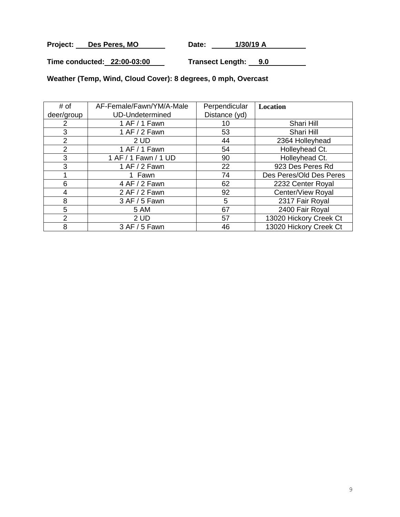Project: Des Peres, MO Date: 1/30/19 A

**Time conducted: 22:00-03:00 Transect Length: 9.0**

**Weather (Temp, Wind, Cloud Cover): 8 degrees, 0 mph, Overcast**

| # of          | AF-Female/Fawn/YM/A-Male | Perpendicular | <b>Location</b>         |
|---------------|--------------------------|---------------|-------------------------|
| deer/group    | <b>UD-Undetermined</b>   | Distance (yd) |                         |
| 2             | 1 AF / 1 Fawn            | 10            | Shari Hill              |
| 3             | 1 AF $/$ 2 Fawn          | 53            | Shari Hill              |
| $\mathcal{P}$ | 2UD                      | 44            | 2364 Holleyhead         |
| 2             | 1 AF / 1 Fawn            | 54            | Holleyhead Ct.          |
| 3             | 1 AF / 1 Fawn / 1 UD     | 90            | Holleyhead Ct.          |
| 3             | 1 AF / 2 Fawn            | 22            | 923 Des Peres Rd        |
|               | 1 Fawn                   | 74            | Des Peres/Old Des Peres |
| 6             | 4 AF / 2 Fawn            | 62            | 2232 Center Royal       |
| 4             | 2 AF / 2 Fawn            | 92            | Center/View Royal       |
| 8             | 3 AF / 5 Fawn            | 5             | 2317 Fair Royal         |
| 5             | <b>5 AM</b>              | 67            | 2400 Fair Royal         |
| 2             | 2UD                      | 57            | 13020 Hickory Creek Ct  |
| 8             | 3 AF / 5 Fawn            | 46            | 13020 Hickory Creek Ct  |